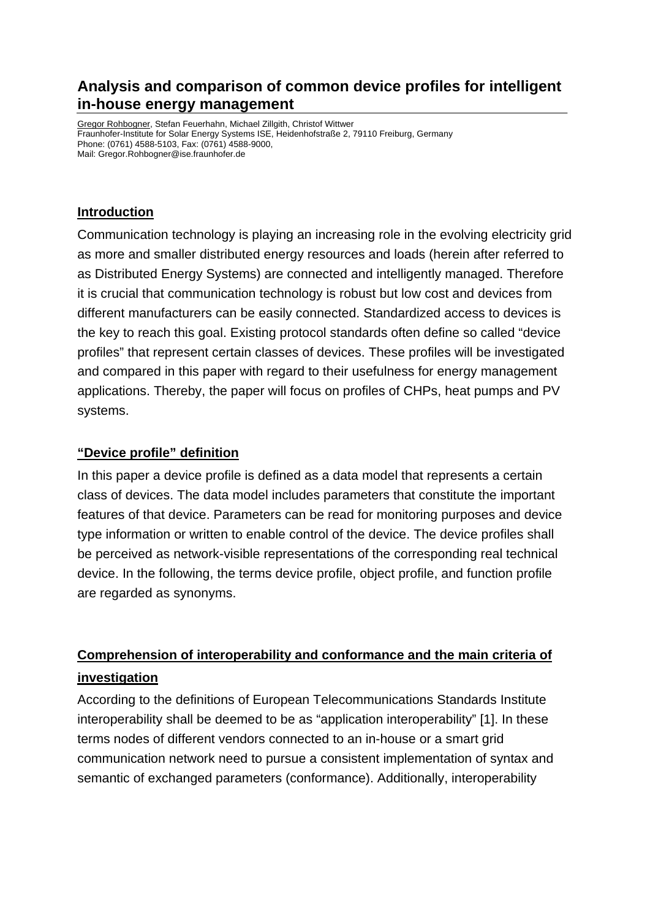## **Analysis and comparison of common device profiles for intelligent in-house energy management**

Gregor Rohbogner, Stefan Feuerhahn, Michael Zillgith, Christof Wittwer Fraunhofer-Institute for Solar Energy Systems ISE, Heidenhofstraße 2, 79110 Freiburg, Germany Phone: (0761) 4588-5103, Fax: (0761) 4588-9000, Mail: Gregor.Rohbogner@ise.fraunhofer.de

#### **Introduction**

Communication technology is playing an increasing role in the evolving electricity grid as more and smaller distributed energy resources and loads (herein after referred to as Distributed Energy Systems) are connected and intelligently managed. Therefore it is crucial that communication technology is robust but low cost and devices from different manufacturers can be easily connected. Standardized access to devices is the key to reach this goal. Existing protocol standards often define so called "device profiles" that represent certain classes of devices. These profiles will be investigated and compared in this paper with regard to their usefulness for energy management applications. Thereby, the paper will focus on profiles of CHPs, heat pumps and PV systems.

#### **"Device profile" definition**

In this paper a device profile is defined as a data model that represents a certain class of devices. The data model includes parameters that constitute the important features of that device. Parameters can be read for monitoring purposes and device type information or written to enable control of the device. The device profiles shall be perceived as network-visible representations of the corresponding real technical device. In the following, the terms device profile, object profile, and function profile are regarded as synonyms.

# **Comprehension of interoperability and conformance and the main criteria of investigation**

According to the definitions of European Telecommunications Standards Institute interoperability shall be deemed to be as "application interoperability" [1]. In these terms nodes of different vendors connected to an in-house or a smart grid communication network need to pursue a consistent implementation of syntax and semantic of exchanged parameters (conformance). Additionally, interoperability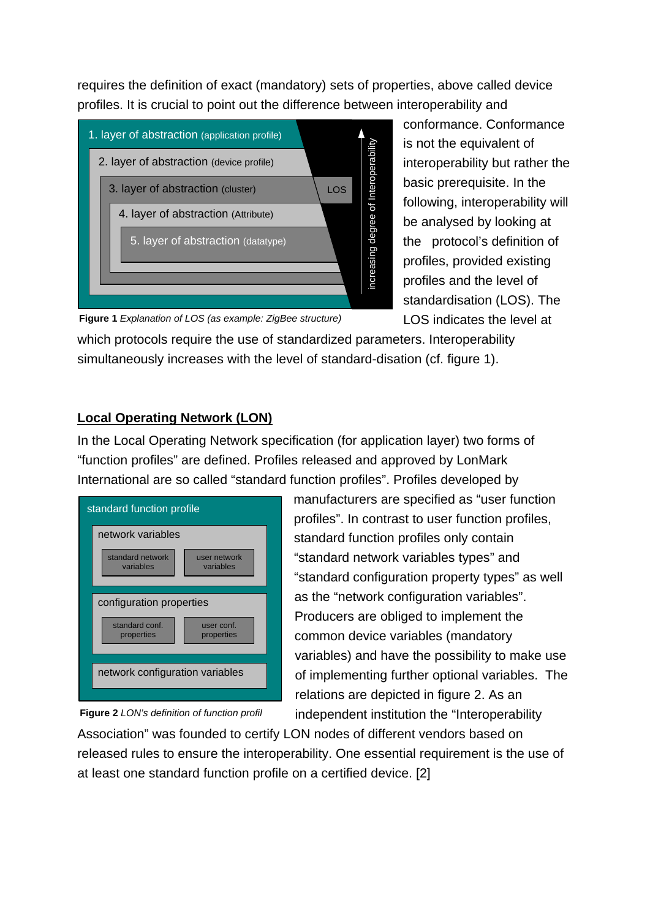requires the definition of exact (mandatory) sets of properties, above called device profiles. It is crucial to point out the difference between interoperability and



conformance. Conformance is not the equivalent of interoperability but rather the basic prerequisite. In the following, interoperability will be analysed by looking at the protocol's definition of profiles, provided existing profiles and the level of standardisation (LOS). The LOS indicates the level at

**Figure 1** *Explanation of LOS (as example: ZigBee structure)*

which protocols require the use of standardized parameters. Interoperability simultaneously increases with the level of standard-disation (cf. figure 1).

## **Local Operating Network (LON)**

In the Local Operating Network specification (for application layer) two forms of "function profiles" are defined. Profiles released and approved by LonMark International are so called "standard function profiles". Profiles developed by



**Figure 2** *LON's definition of function profil* 

manufacturers are specified as "user function profiles". In contrast to user function profiles, standard function profiles only contain "standard network variables types" and "standard configuration property types" as well as the "network configuration variables". Producers are obliged to implement the common device variables (mandatory variables) and have the possibility to make use of implementing further optional variables. The relations are depicted in figure 2. As an independent institution the "Interoperability

Association" was founded to certify LON nodes of different vendors based on released rules to ensure the interoperability. One essential requirement is the use of at least one standard function profile on a certified device. [2]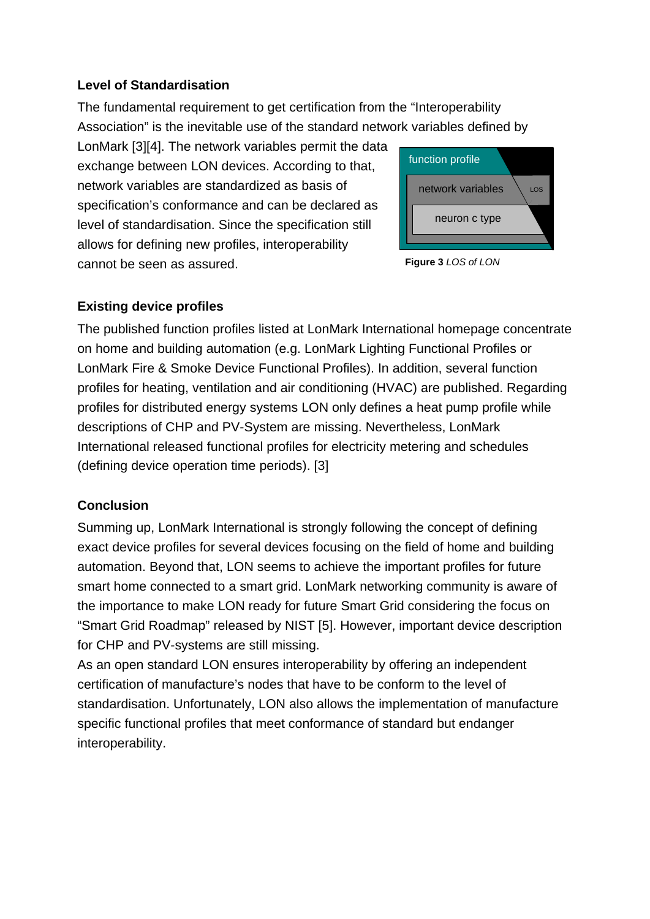#### **Level of Standardisation**

The fundamental requirement to get certification from the "Interoperability Association" is the inevitable use of the standard network variables defined by

LonMark [3][4]. The network variables permit the data exchange between LON devices. According to that, network variables are standardized as basis of specification's conformance and can be declared as level of standardisation. Since the specification still allows for defining new profiles, interoperability cannot be seen as assured.





## **Existing device profiles**

The published function profiles listed at LonMark International homepage concentrate on home and building automation (e.g. LonMark Lighting Functional Profiles or LonMark Fire & Smoke Device Functional Profiles). In addition, several function profiles for heating, ventilation and air conditioning (HVAC) are published. Regarding profiles for distributed energy systems LON only defines a heat pump profile while descriptions of CHP and PV-System are missing. Nevertheless, LonMark International released functional profiles for electricity metering and schedules (defining device operation time periods). [3]

## **Conclusion**

Summing up, LonMark International is strongly following the concept of defining exact device profiles for several devices focusing on the field of home and building automation. Beyond that, LON seems to achieve the important profiles for future smart home connected to a smart grid. LonMark networking community is aware of the importance to make LON ready for future Smart Grid considering the focus on "Smart Grid Roadmap" released by NIST [5]. However, important device description for CHP and PV-systems are still missing.

As an open standard LON ensures interoperability by offering an independent certification of manufacture's nodes that have to be conform to the level of standardisation. Unfortunately, LON also allows the implementation of manufacture specific functional profiles that meet conformance of standard but endanger interoperability.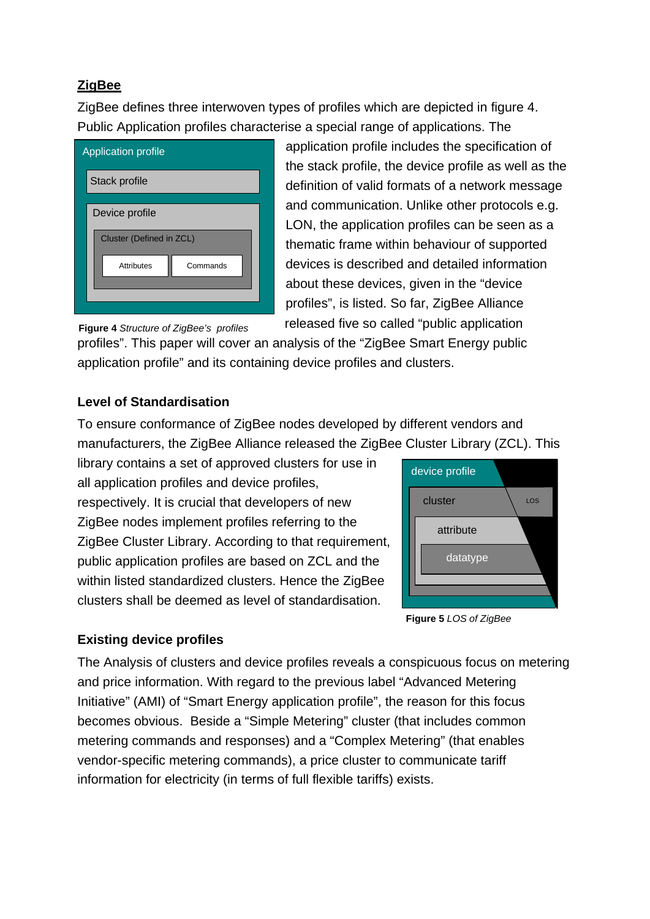## **ZigBee**

ZigBee defines three interwoven types of profiles which are depicted in figure 4. Public Application profiles characterise a special range of applications. The

| <b>Application profile</b>      |  |  |  |  |  |
|---------------------------------|--|--|--|--|--|
| Stack profile                   |  |  |  |  |  |
| Device profile                  |  |  |  |  |  |
| <b>Cluster (Defined in ZCL)</b> |  |  |  |  |  |
| Attributes<br>Commands          |  |  |  |  |  |
|                                 |  |  |  |  |  |

application profile includes the specification of the stack profile, the device profile as well as the definition of valid formats of a network message and communication. Unlike other protocols e.g. LON, the application profiles can be seen as a thematic frame within behaviour of supported devices is described and detailed information about these devices, given in the "device profiles", is listed. So far, ZigBee Alliance released five so called "public application

**Figure 4** *Structure of ZigBee's profiles* 

profiles". This paper will cover an analysis of the "ZigBee Smart Energy public application profile" and its containing device profiles and clusters.

## **Level of Standardisation**

To ensure conformance of ZigBee nodes developed by different vendors and manufacturers, the ZigBee Alliance released the ZigBee Cluster Library (ZCL). This

library contains a set of approved clusters for use in all application profiles and device profiles, respectively. It is crucial that developers of new ZigBee nodes implement profiles referring to the ZigBee Cluster Library. According to that requirement, public application profiles are based on ZCL and the within listed standardized clusters. Hence the ZigBee clusters shall be deemed as level of standardisation.



**Figure 5** *LOS of ZigBee* 

#### **Existing device profiles**

The Analysis of clusters and device profiles reveals a conspicuous focus on metering and price information. With regard to the previous label "Advanced Metering Initiative" (AMI) of "Smart Energy application profile", the reason for this focus becomes obvious. Beside a "Simple Metering" cluster (that includes common metering commands and responses) and a "Complex Metering" (that enables vendor-specific metering commands), a price cluster to communicate tariff information for electricity (in terms of full flexible tariffs) exists.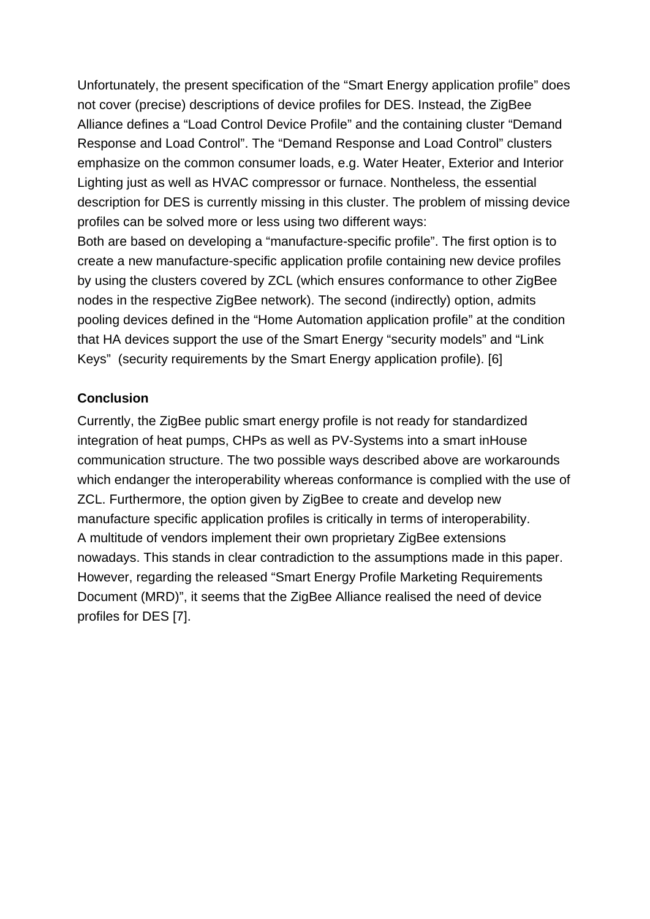Unfortunately, the present specification of the "Smart Energy application profile" does not cover (precise) descriptions of device profiles for DES. Instead, the ZigBee Alliance defines a "Load Control Device Profile" and the containing cluster "Demand Response and Load Control". The "Demand Response and Load Control" clusters emphasize on the common consumer loads, e.g. Water Heater, Exterior and Interior Lighting just as well as HVAC compressor or furnace. Nontheless, the essential description for DES is currently missing in this cluster. The problem of missing device profiles can be solved more or less using two different ways:

Both are based on developing a "manufacture-specific profile". The first option is to create a new manufacture-specific application profile containing new device profiles by using the clusters covered by ZCL (which ensures conformance to other ZigBee nodes in the respective ZigBee network). The second (indirectly) option, admits pooling devices defined in the "Home Automation application profile" at the condition that HA devices support the use of the Smart Energy "security models" and "Link Keys" (security requirements by the Smart Energy application profile). [6]

#### **Conclusion**

Currently, the ZigBee public smart energy profile is not ready for standardized integration of heat pumps, CHPs as well as PV-Systems into a smart inHouse communication structure. The two possible ways described above are workarounds which endanger the interoperability whereas conformance is complied with the use of ZCL. Furthermore, the option given by ZigBee to create and develop new manufacture specific application profiles is critically in terms of interoperability. A multitude of vendors implement their own proprietary ZigBee extensions nowadays. This stands in clear contradiction to the assumptions made in this paper. However, regarding the released "Smart Energy Profile Marketing Requirements Document (MRD)", it seems that the ZigBee Alliance realised the need of device profiles for DES [7].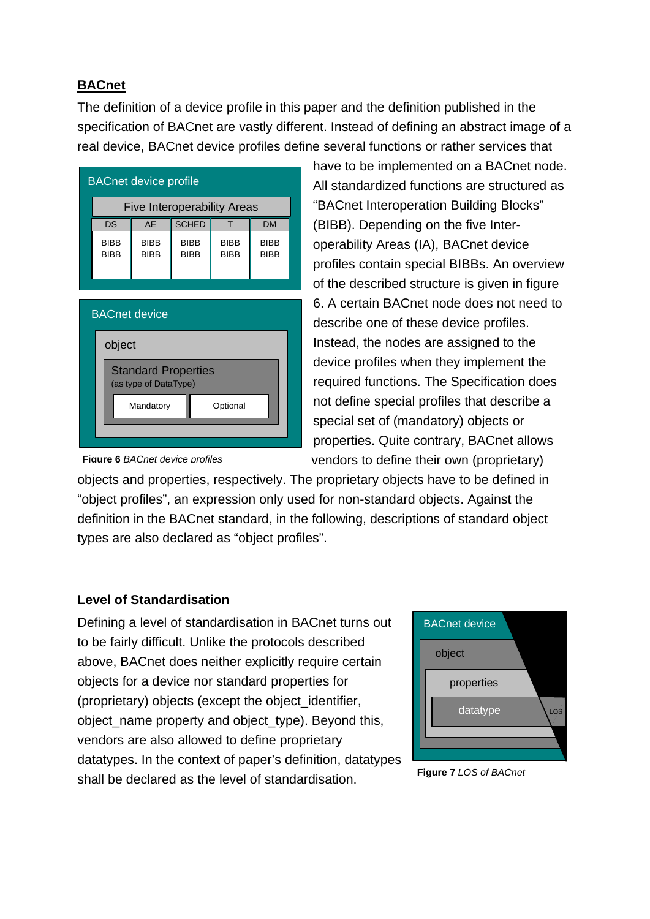## **BACnet**

The definition of a device profile in this paper and the definition published in the specification of BACnet are vastly different. Instead of defining an abstract image of a real device, BACnet device profiles define several functions or rather services that

| <b>Five Interoperability Areas</b><br><b>SCHED</b><br><b>DS</b><br><b>DM</b><br>AF<br><b>BIBB</b><br><b>BIBB</b><br><b>BIBB</b><br><b>BIBB</b><br><b>BIBB</b><br><b>BIBB</b><br><b>BIBB</b><br><b>BIBB</b><br><b>BIBB</b><br><b>BIBB</b> | <b>BACnet device profile</b> |  |  |  |  |  |  |
|------------------------------------------------------------------------------------------------------------------------------------------------------------------------------------------------------------------------------------------|------------------------------|--|--|--|--|--|--|
|                                                                                                                                                                                                                                          |                              |  |  |  |  |  |  |
|                                                                                                                                                                                                                                          |                              |  |  |  |  |  |  |
|                                                                                                                                                                                                                                          |                              |  |  |  |  |  |  |

| <b>BACnet device</b> |                                                     |  |  |  |  |  |
|----------------------|-----------------------------------------------------|--|--|--|--|--|
|                      | object                                              |  |  |  |  |  |
|                      | <b>Standard Properties</b><br>(as type of DataType) |  |  |  |  |  |
|                      | Mandatory<br>Optional                               |  |  |  |  |  |
|                      |                                                     |  |  |  |  |  |

have to be implemented on a BACnet node. All standardized functions are structured as "BACnet Interoperation Building Blocks" (BIBB). Depending on the five Interoperability Areas (IA), BACnet device profiles contain special BIBBs. An overview of the described structure is given in figure 6. A certain BACnet node does not need to describe one of these device profiles. Instead, the nodes are assigned to the device profiles when they implement the required functions. The Specification does not define special profiles that describe a special set of (mandatory) objects or properties. Quite contrary, BACnet allows vendors to define their own (proprietary)

**Figure 6** *BACnet device profiles*

objects and properties, respectively. The proprietary objects have to be defined in "object profiles", an expression only used for non-standard objects. Against the definition in the BACnet standard, in the following, descriptions of standard object types are also declared as "object profiles".

#### **Level of Standardisation**

Defining a level of standardisation in BACnet turns out to be fairly difficult. Unlike the protocols described above, BACnet does neither explicitly require certain objects for a device nor standard properties for (proprietary) objects (except the object\_identifier, object\_name property and object\_type). Beyond this, vendors are also allowed to define proprietary datatypes. In the context of paper's definition, datatypes shall be declared as the level of standardisation.



**Figure 7** *LOS of BACnet*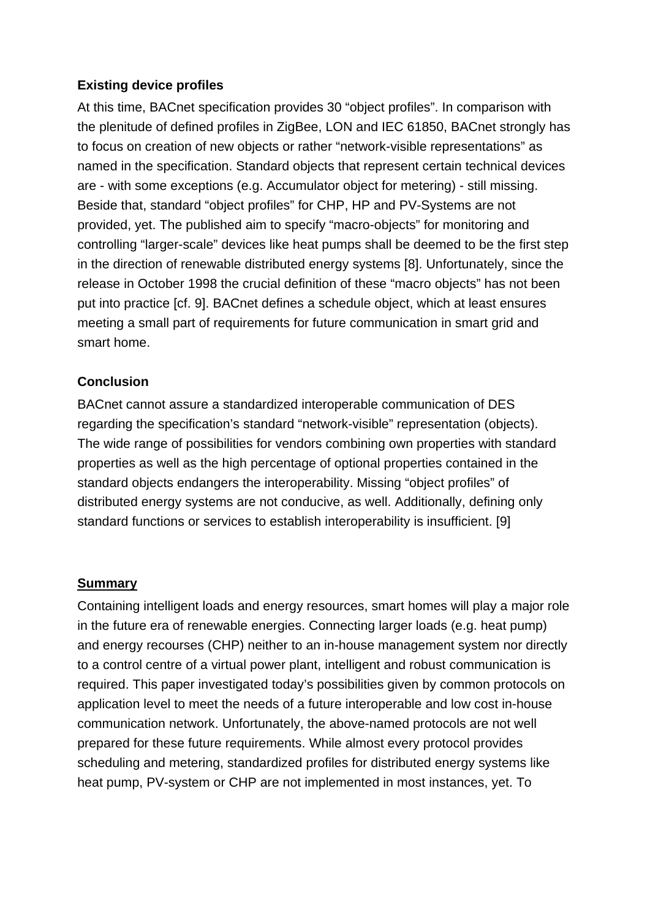#### **Existing device profiles**

At this time, BACnet specification provides 30 "object profiles". In comparison with the plenitude of defined profiles in ZigBee, LON and IEC 61850, BACnet strongly has to focus on creation of new objects or rather "network-visible representations" as named in the specification. Standard objects that represent certain technical devices are - with some exceptions (e.g. Accumulator object for metering) - still missing. Beside that, standard "object profiles" for CHP, HP and PV-Systems are not provided, yet. The published aim to specify "macro-objects" for monitoring and controlling "larger-scale" devices like heat pumps shall be deemed to be the first step in the direction of renewable distributed energy systems [8]. Unfortunately, since the release in October 1998 the crucial definition of these "macro objects" has not been put into practice [cf. 9]. BACnet defines a schedule object, which at least ensures meeting a small part of requirements for future communication in smart grid and smart home.

## **Conclusion**

BACnet cannot assure a standardized interoperable communication of DES regarding the specification's standard "network-visible" representation (objects). The wide range of possibilities for vendors combining own properties with standard properties as well as the high percentage of optional properties contained in the standard objects endangers the interoperability. Missing "object profiles" of distributed energy systems are not conducive, as well. Additionally, defining only standard functions or services to establish interoperability is insufficient. [9]

#### **Summary**

Containing intelligent loads and energy resources, smart homes will play a major role in the future era of renewable energies. Connecting larger loads (e.g. heat pump) and energy recourses (CHP) neither to an in-house management system nor directly to a control centre of a virtual power plant, intelligent and robust communication is required. This paper investigated today's possibilities given by common protocols on application level to meet the needs of a future interoperable and low cost in-house communication network. Unfortunately, the above-named protocols are not well prepared for these future requirements. While almost every protocol provides scheduling and metering, standardized profiles for distributed energy systems like heat pump, PV-system or CHP are not implemented in most instances, yet. To